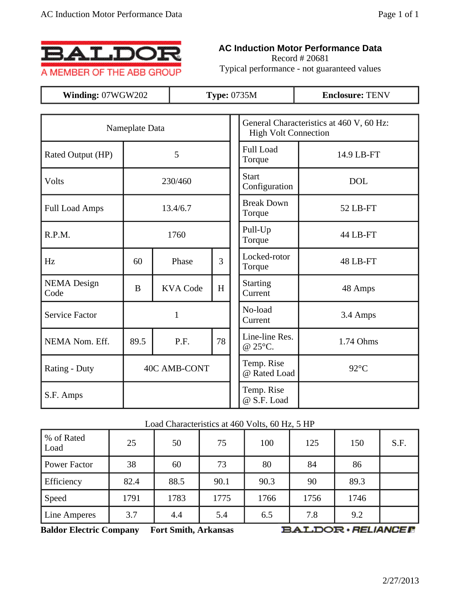

## **AC Induction Motor Performance Data**

Record # 20681 Typical performance - not guaranteed values

| Winding: 07WGW202          |          |                     | <b>Type: 0735M</b> | <b>Enclosure: TENV</b>                                                  |                |  |  |  |  |  |  |
|----------------------------|----------|---------------------|--------------------|-------------------------------------------------------------------------|----------------|--|--|--|--|--|--|
|                            |          |                     |                    |                                                                         |                |  |  |  |  |  |  |
| Nameplate Data             |          |                     |                    | General Characteristics at 460 V, 60 Hz:<br><b>High Volt Connection</b> |                |  |  |  |  |  |  |
| Rated Output (HP)          |          | 5                   |                    | <b>Full Load</b><br>Torque                                              | 14.9 LB-FT     |  |  |  |  |  |  |
| Volts                      |          | 230/460             |                    | <b>Start</b><br>Configuration                                           | <b>DOL</b>     |  |  |  |  |  |  |
| <b>Full Load Amps</b>      |          | 13.4/6.7            |                    | <b>Break Down</b><br>Torque                                             | 52 LB-FT       |  |  |  |  |  |  |
| R.P.M.                     |          | 1760                |                    | Pull-Up<br>Torque                                                       | 44 LB-FT       |  |  |  |  |  |  |
| Hz                         | 60       | Phase               | 3                  | Locked-rotor<br>Torque                                                  | 48 LB-FT       |  |  |  |  |  |  |
| <b>NEMA</b> Design<br>Code | $\bf{B}$ | <b>KVA Code</b>     | H                  | <b>Starting</b><br>Current                                              | 48 Amps        |  |  |  |  |  |  |
| <b>Service Factor</b>      |          | $\mathbf{1}$        |                    | No-load<br>Current                                                      | 3.4 Amps       |  |  |  |  |  |  |
| NEMA Nom. Eff.             | 89.5     | P.F.                | 78                 | Line-line Res.<br>@ 25°C.                                               | 1.74 Ohms      |  |  |  |  |  |  |
| Rating - Duty              |          | <b>40C AMB-CONT</b> |                    | Temp. Rise<br>@ Rated Load                                              | $92^{\circ}$ C |  |  |  |  |  |  |
| S.F. Amps                  |          |                     |                    | Temp. Rise<br>@ S.F. Load                                               |                |  |  |  |  |  |  |

## Load Characteristics at 460 Volts, 60 Hz, 5 HP

| % of Rated<br>Load | 25   | 50   | 75   | 100  | 125  | 150  | S.F. |
|--------------------|------|------|------|------|------|------|------|
| Power Factor       | 38   | 60   | 73   | 80   | 84   | 86   |      |
| Efficiency         | 82.4 | 88.5 | 90.1 | 90.3 | 90   | 89.3 |      |
| Speed              | 1791 | 1783 | 1775 | 1766 | 1756 | 1746 |      |
| Line Amperes       | 3.7  | 4.4  | 5.4  | 6.5  | 7.8  | 9.2  |      |

**Baldor Electric Company Fort Smith, Arkansas**

**BALDOR** · RELIANCER